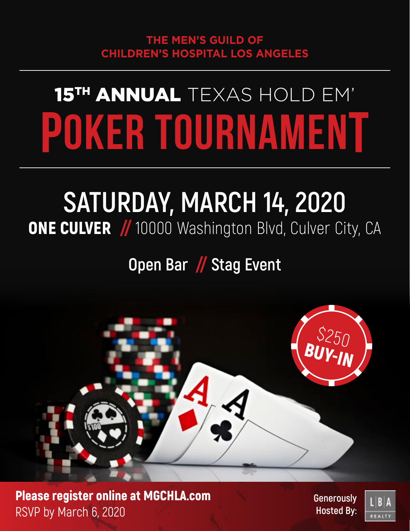# 15TH ANNUAL TEXAS HOLD EM' POKER TOURNAMENT

# **SATURDAY, MARCH 14, 2020 ONE CULVER** // 10000 Washington Blvd, Culver City, CA

## **Open Bar** // **Stag Event**



Please register online at MGCHLA.com RSVP by March 6, 2020

**Generously Hosted By:**

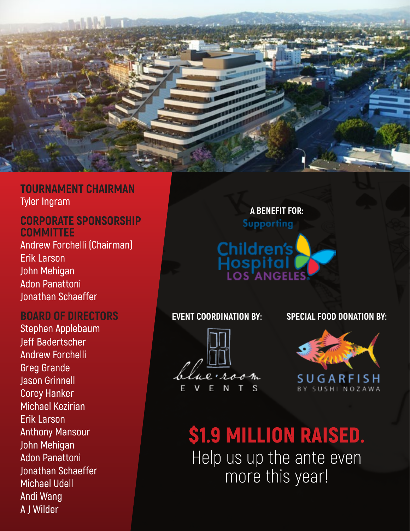

### **TOURNAMENT CHAIRMAN Tyler Ingram**

### **CORPORATE SPONSORSHIP COMMITTEE**

**Andrew Forchelli (Chairman) Erik Larson John Mehigan Adon Panattoni Jonathan Schaeffer**

### **BOARD OF DIRECTORS**

**Stephen Applebaum Jeff Badertscher Andrew Forchelli Greg Grande Jason Grinnell Corey Hanker Michael Kezirian Erik Larson Anthony Mansour John Mehigan Adon Panattoni Jonathan Schaeffer Michael Udell Andi Wang A J Wilder**

# **A BENEFIT FOR:** Supporting **Children's**

И S

#### **EVENT COORDINATION BY: SPECIAL FOOD DONATION BY:**



# \$1.9 MILLION RAISED.

Help us up the ante even more this year!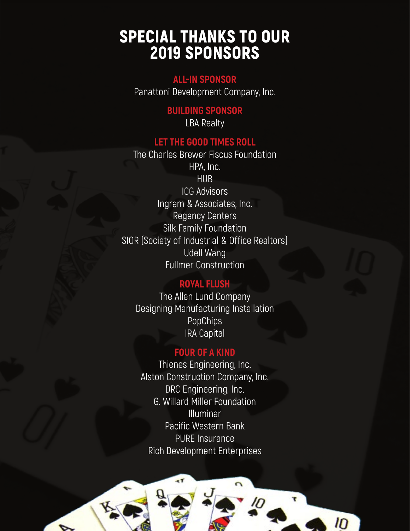### SPECIAL THANKS TO OUR 2019 SPONSORS

### **ALL-IN SPONSOR**

Panattoni Development Company, Inc.

### **BUILDING SPONSOR**

LBA Realty

### **LET THE GOOD TIMES ROLL**

The Charles Brewer Fiscus Foundation HPA, Inc. HU<sub>B</sub> ICG Advisors Ingram & Associates, Inc. Regency Centers Silk Family Foundation SIOR (Society of Industrial & Office Realtors) Udell Wang Fullmer Construction

### **ROYAL FLUSH**

The Allen Lund Company Designing Manufacturing Installation PopChips IRA Capital

### **FOUR OF A KIND**

Thienes Engineering, Inc. Alston Construction Company, Inc. DRC Engineering, Inc. G. Willard Miller Foundation Illuminar Pacific Western Bank PURE Insurance Rich Development Enterprises

 $\overline{10}$ 

 $\overline{1}$